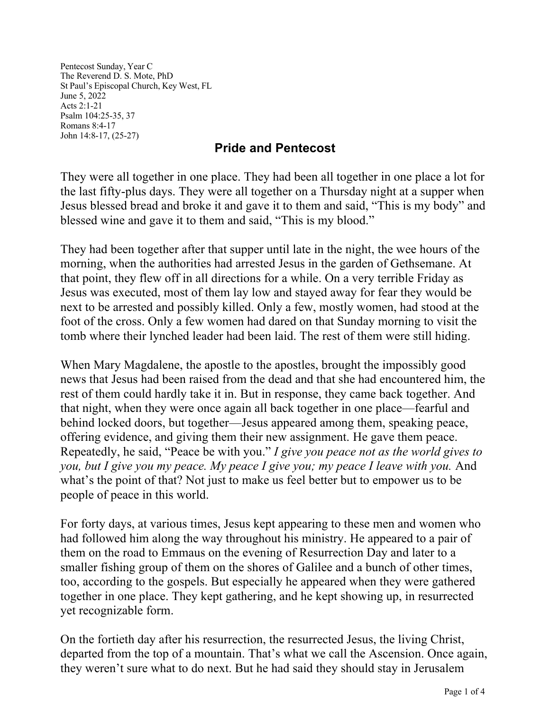Pentecost Sunday, Year C The Reverend D. S. Mote, PhD St Paul's Episcopal Church, Key West, FL June 5, 2022 Acts 2:1-21 Psalm 104:25-35, 37 Romans 8:4-17 John 14:8-17, (25-27)

## **Pride and Pentecost**

They were all together in one place. They had been all together in one place a lot for the last fifty-plus days. They were all together on a Thursday night at a supper when Jesus blessed bread and broke it and gave it to them and said, "This is my body" and blessed wine and gave it to them and said, "This is my blood."

They had been together after that supper until late in the night, the wee hours of the morning, when the authorities had arrested Jesus in the garden of Gethsemane. At that point, they flew off in all directions for a while. On a very terrible Friday as Jesus was executed, most of them lay low and stayed away for fear they would be next to be arrested and possibly killed. Only a few, mostly women, had stood at the foot of the cross. Only a few women had dared on that Sunday morning to visit the tomb where their lynched leader had been laid. The rest of them were still hiding.

When Mary Magdalene, the apostle to the apostles, brought the impossibly good news that Jesus had been raised from the dead and that she had encountered him, the rest of them could hardly take it in. But in response, they came back together. And that night, when they were once again all back together in one place—fearful and behind locked doors, but together—Jesus appeared among them, speaking peace, offering evidence, and giving them their new assignment. He gave them peace. Repeatedly, he said, "Peace be with you." *I give you peace not as the world gives to you, but I give you my peace. My peace I give you; my peace I leave with you.* And what's the point of that? Not just to make us feel better but to empower us to be people of peace in this world.

For forty days, at various times, Jesus kept appearing to these men and women who had followed him along the way throughout his ministry. He appeared to a pair of them on the road to Emmaus on the evening of Resurrection Day and later to a smaller fishing group of them on the shores of Galilee and a bunch of other times, too, according to the gospels. But especially he appeared when they were gathered together in one place. They kept gathering, and he kept showing up, in resurrected yet recognizable form.

On the fortieth day after his resurrection, the resurrected Jesus, the living Christ, departed from the top of a mountain. That's what we call the Ascension. Once again, they weren't sure what to do next. But he had said they should stay in Jerusalem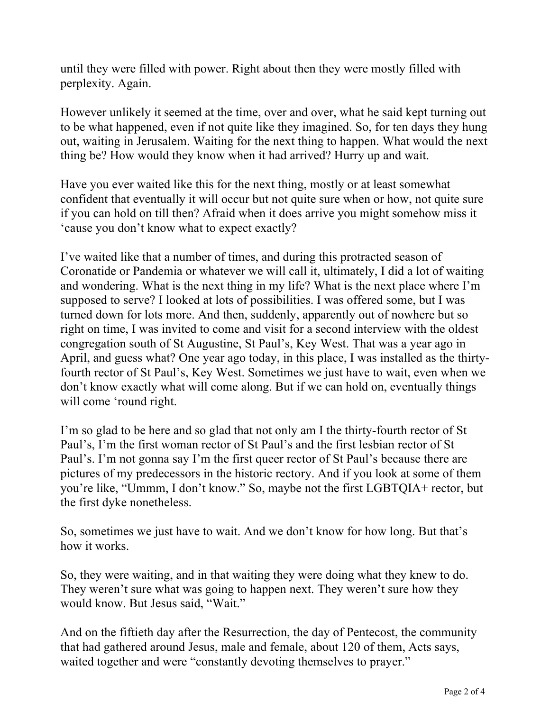until they were filled with power. Right about then they were mostly filled with perplexity. Again.

However unlikely it seemed at the time, over and over, what he said kept turning out to be what happened, even if not quite like they imagined. So, for ten days they hung out, waiting in Jerusalem. Waiting for the next thing to happen. What would the next thing be? How would they know when it had arrived? Hurry up and wait.

Have you ever waited like this for the next thing, mostly or at least somewhat confident that eventually it will occur but not quite sure when or how, not quite sure if you can hold on till then? Afraid when it does arrive you might somehow miss it 'cause you don't know what to expect exactly?

I've waited like that a number of times, and during this protracted season of Coronatide or Pandemia or whatever we will call it, ultimately, I did a lot of waiting and wondering. What is the next thing in my life? What is the next place where I'm supposed to serve? I looked at lots of possibilities. I was offered some, but I was turned down for lots more. And then, suddenly, apparently out of nowhere but so right on time, I was invited to come and visit for a second interview with the oldest congregation south of St Augustine, St Paul's, Key West. That was a year ago in April, and guess what? One year ago today, in this place, I was installed as the thirtyfourth rector of St Paul's, Key West. Sometimes we just have to wait, even when we don't know exactly what will come along. But if we can hold on, eventually things will come 'round right.

I'm so glad to be here and so glad that not only am I the thirty-fourth rector of St Paul's, I'm the first woman rector of St Paul's and the first lesbian rector of St Paul's. I'm not gonna say I'm the first queer rector of St Paul's because there are pictures of my predecessors in the historic rectory. And if you look at some of them you're like, "Ummm, I don't know." So, maybe not the first LGBTQIA+ rector, but the first dyke nonetheless.

So, sometimes we just have to wait. And we don't know for how long. But that's how it works.

So, they were waiting, and in that waiting they were doing what they knew to do. They weren't sure what was going to happen next. They weren't sure how they would know. But Jesus said, "Wait."

And on the fiftieth day after the Resurrection, the day of Pentecost, the community that had gathered around Jesus, male and female, about 120 of them, Acts says, waited together and were "constantly devoting themselves to prayer."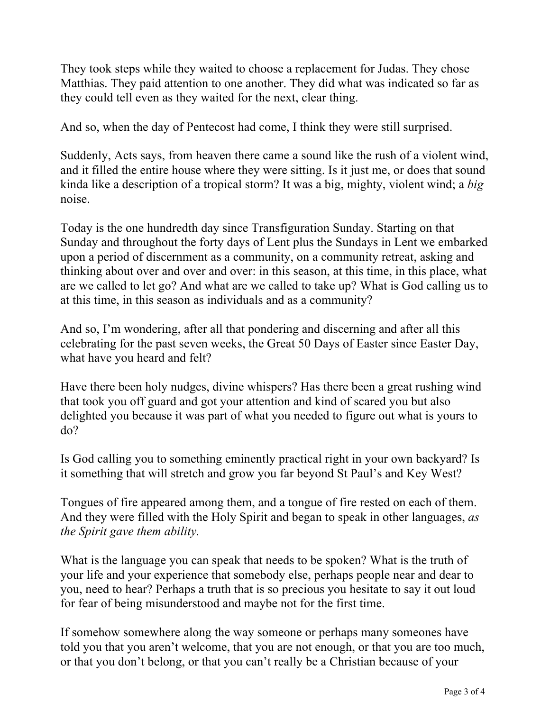They took steps while they waited to choose a replacement for Judas. They chose Matthias. They paid attention to one another. They did what was indicated so far as they could tell even as they waited for the next, clear thing.

And so, when the day of Pentecost had come, I think they were still surprised.

Suddenly, Acts says, from heaven there came a sound like the rush of a violent wind, and it filled the entire house where they were sitting. Is it just me, or does that sound kinda like a description of a tropical storm? It was a big, mighty, violent wind; a *big* noise.

Today is the one hundredth day since Transfiguration Sunday. Starting on that Sunday and throughout the forty days of Lent plus the Sundays in Lent we embarked upon a period of discernment as a community, on a community retreat, asking and thinking about over and over and over: in this season, at this time, in this place, what are we called to let go? And what are we called to take up? What is God calling us to at this time, in this season as individuals and as a community?

And so, I'm wondering, after all that pondering and discerning and after all this celebrating for the past seven weeks, the Great 50 Days of Easter since Easter Day, what have you heard and felt?

Have there been holy nudges, divine whispers? Has there been a great rushing wind that took you off guard and got your attention and kind of scared you but also delighted you because it was part of what you needed to figure out what is yours to do?

Is God calling you to something eminently practical right in your own backyard? Is it something that will stretch and grow you far beyond St Paul's and Key West?

Tongues of fire appeared among them, and a tongue of fire rested on each of them. And they were filled with the Holy Spirit and began to speak in other languages, *as the Spirit gave them ability.*

What is the language you can speak that needs to be spoken? What is the truth of your life and your experience that somebody else, perhaps people near and dear to you, need to hear? Perhaps a truth that is so precious you hesitate to say it out loud for fear of being misunderstood and maybe not for the first time.

If somehow somewhere along the way someone or perhaps many someones have told you that you aren't welcome, that you are not enough, or that you are too much, or that you don't belong, or that you can't really be a Christian because of your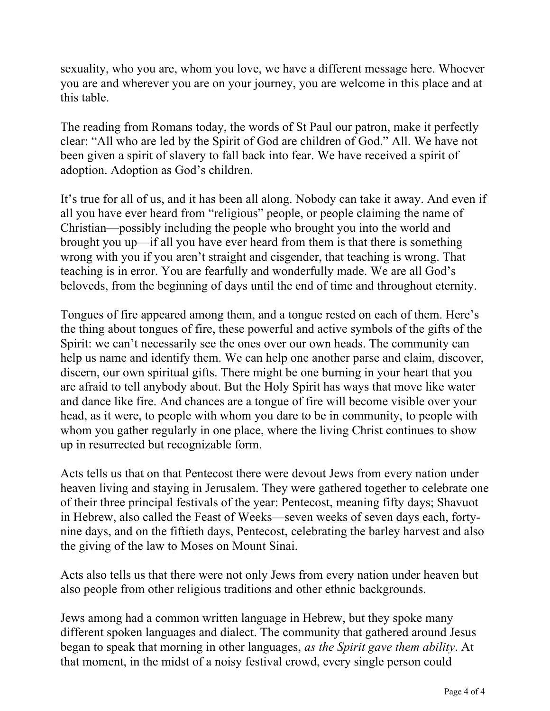sexuality, who you are, whom you love, we have a different message here. Whoever you are and wherever you are on your journey, you are welcome in this place and at this table.

The reading from Romans today, the words of St Paul our patron, make it perfectly clear: "All who are led by the Spirit of God are children of God." All. We have not been given a spirit of slavery to fall back into fear. We have received a spirit of adoption. Adoption as God's children.

It's true for all of us, and it has been all along. Nobody can take it away. And even if all you have ever heard from "religious" people, or people claiming the name of Christian—possibly including the people who brought you into the world and brought you up—if all you have ever heard from them is that there is something wrong with you if you aren't straight and cisgender, that teaching is wrong. That teaching is in error. You are fearfully and wonderfully made. We are all God's beloveds, from the beginning of days until the end of time and throughout eternity.

Tongues of fire appeared among them, and a tongue rested on each of them. Here's the thing about tongues of fire, these powerful and active symbols of the gifts of the Spirit: we can't necessarily see the ones over our own heads. The community can help us name and identify them. We can help one another parse and claim, discover, discern, our own spiritual gifts. There might be one burning in your heart that you are afraid to tell anybody about. But the Holy Spirit has ways that move like water and dance like fire. And chances are a tongue of fire will become visible over your head, as it were, to people with whom you dare to be in community, to people with whom you gather regularly in one place, where the living Christ continues to show up in resurrected but recognizable form.

Acts tells us that on that Pentecost there were devout Jews from every nation under heaven living and staying in Jerusalem. They were gathered together to celebrate one of their three principal festivals of the year: Pentecost, meaning fifty days; Shavuot in Hebrew, also called the Feast of Weeks—seven weeks of seven days each, fortynine days, and on the fiftieth days, Pentecost, celebrating the barley harvest and also the giving of the law to Moses on Mount Sinai.

Acts also tells us that there were not only Jews from every nation under heaven but also people from other religious traditions and other ethnic backgrounds.

Jews among had a common written language in Hebrew, but they spoke many different spoken languages and dialect. The community that gathered around Jesus began to speak that morning in other languages, *as the Spirit gave them ability*. At that moment, in the midst of a noisy festival crowd, every single person could